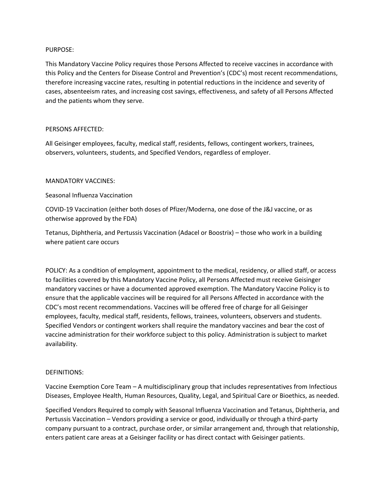### PURPOSE:

This Mandatory Vaccine Policy requires those Persons Affected to receive vaccines in accordance with this Policy and the Centers for Disease Control and Prevention's (CDC's) most recent recommendations, therefore increasing vaccine rates, resulting in potential reductions in the incidence and severity of cases, absenteeism rates, and increasing cost savings, effectiveness, and safety of all Persons Affected and the patients whom they serve.

## PERSONS AFFECTED:

All Geisinger employees, faculty, medical staff, residents, fellows, contingent workers, trainees, observers, volunteers, students, and Specified Vendors, regardless of employer.

## MANDATORY VACCINES:

Seasonal Influenza Vaccination

COVID-19 Vaccination (either both doses of Pfizer/Moderna, one dose of the J&J vaccine, or as otherwise approved by the FDA)

Tetanus, Diphtheria, and Pertussis Vaccination (Adacel or Boostrix) – those who work in a building where patient care occurs

POLICY: As a condition of employment, appointment to the medical, residency, or allied staff, or access to facilities covered by this Mandatory Vaccine Policy, all Persons Affected must receive Geisinger mandatory vaccines or have a documented approved exemption. The Mandatory Vaccine Policy is to ensure that the applicable vaccines will be required for all Persons Affected in accordance with the CDC's most recent recommendations. Vaccines will be offered free of charge for all Geisinger employees, faculty, medical staff, residents, fellows, trainees, volunteers, observers and students. Specified Vendors or contingent workers shall require the mandatory vaccines and bear the cost of vaccine administration for their workforce subject to this policy. Administration is subject to market availability.

#### DEFINITIONS:

Vaccine Exemption Core Team – A multidisciplinary group that includes representatives from Infectious Diseases, Employee Health, Human Resources, Quality, Legal, and Spiritual Care or Bioethics, as needed.

Specified Vendors Required to comply with Seasonal Influenza Vaccination and Tetanus, Diphtheria, and Pertussis Vaccination – Vendors providing a service or good, individually or through a third-party company pursuant to a contract, purchase order, or similar arrangement and, through that relationship, enters patient care areas at a Geisinger facility or has direct contact with Geisinger patients.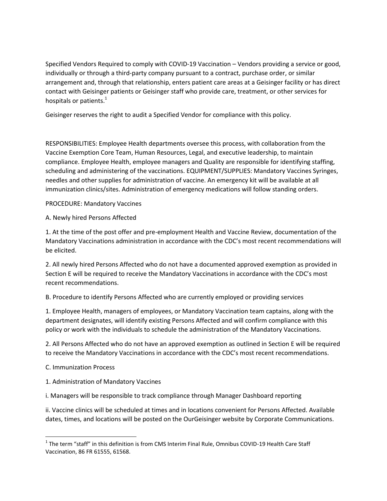Specified Vendors Required to comply with COVID-19 Vaccination – Vendors providing a service or good, individually or through a third-party company pursuant to a contract, purchase order, or similar arrangement and, through that relationship, enters patient care areas at a Geisinger facility or has direct contact with Geisinger patients or Geisinger staff who provide care, treatment, or other services for hospitals or patients.<sup>1</sup>

Geisinger reserves the right to audit a Specified Vendor for compliance with this policy.

RESPONSIBILITIES: Employee Health departments oversee this process, with collaboration from the Vaccine Exemption Core Team, Human Resources, Legal, and executive leadership, to maintain compliance. Employee Health, employee managers and Quality are responsible for identifying staffing, scheduling and administering of the vaccinations. EQUIPMENT/SUPPLIES: Mandatory Vaccines Syringes, needles and other supplies for administration of vaccine. An emergency kit will be available at all immunization clinics/sites. Administration of emergency medications will follow standing orders.

PROCEDURE: Mandatory Vaccines

A. Newly hired Persons Affected

1. At the time of the post offer and pre-employment Health and Vaccine Review, documentation of the Mandatory Vaccinations administration in accordance with the CDC's most recent recommendations will be elicited.

2. All newly hired Persons Affected who do not have a documented approved exemption as provided in Section E will be required to receive the Mandatory Vaccinations in accordance with the CDC's most recent recommendations.

B. Procedure to identify Persons Affected who are currently employed or providing services

1. Employee Health, managers of employees, or Mandatory Vaccination team captains, along with the department designates, will identify existing Persons Affected and will confirm compliance with this policy or work with the individuals to schedule the administration of the Mandatory Vaccinations.

2. All Persons Affected who do not have an approved exemption as outlined in Section E will be required to receive the Mandatory Vaccinations in accordance with the CDC's most recent recommendations.

C. Immunization Process

1. Administration of Mandatory Vaccines

i. Managers will be responsible to track compliance through Manager Dashboard reporting

ii. Vaccine clinics will be scheduled at times and in locations convenient for Persons Affected. Available dates, times, and locations will be posted on the OurGeisinger website by Corporate Communications.

l  $^1$  The term "staff" in this definition is from CMS Interim Final Rule, Omnibus COVID-19 Health Care Staff Vaccination, 86 FR 61555, 61568.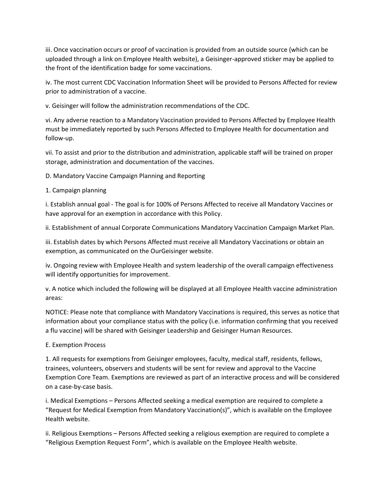iii. Once vaccination occurs or proof of vaccination is provided from an outside source (which can be uploaded through a link on Employee Health website), a Geisinger-approved sticker may be applied to the front of the identification badge for some vaccinations.

iv. The most current CDC Vaccination Information Sheet will be provided to Persons Affected for review prior to administration of a vaccine.

v. Geisinger will follow the administration recommendations of the CDC.

vi. Any adverse reaction to a Mandatory Vaccination provided to Persons Affected by Employee Health must be immediately reported by such Persons Affected to Employee Health for documentation and follow-up.

vii. To assist and prior to the distribution and administration, applicable staff will be trained on proper storage, administration and documentation of the vaccines.

D. Mandatory Vaccine Campaign Planning and Reporting

1. Campaign planning

i. Establish annual goal - The goal is for 100% of Persons Affected to receive all Mandatory Vaccines or have approval for an exemption in accordance with this Policy.

ii. Establishment of annual Corporate Communications Mandatory Vaccination Campaign Market Plan.

iii. Establish dates by which Persons Affected must receive all Mandatory Vaccinations or obtain an exemption, as communicated on the OurGeisinger website.

iv. Ongoing review with Employee Health and system leadership of the overall campaign effectiveness will identify opportunities for improvement.

v. A notice which included the following will be displayed at all Employee Health vaccine administration areas:

NOTICE: Please note that compliance with Mandatory Vaccinations is required, this serves as notice that information about your compliance status with the policy (i.e. information confirming that you received a flu vaccine) will be shared with Geisinger Leadership and Geisinger Human Resources.

# E. Exemption Process

1. All requests for exemptions from Geisinger employees, faculty, medical staff, residents, fellows, trainees, volunteers, observers and students will be sent for review and approval to the Vaccine Exemption Core Team. Exemptions are reviewed as part of an interactive process and will be considered on a case-by-case basis.

i. Medical Exemptions – Persons Affected seeking a medical exemption are required to complete a "Request for Medical Exemption from Mandatory Vaccination(s)", which is available on the Employee Health website.

ii. Religious Exemptions – Persons Affected seeking a religious exemption are required to complete a "Religious Exemption Request Form", which is available on the Employee Health website.